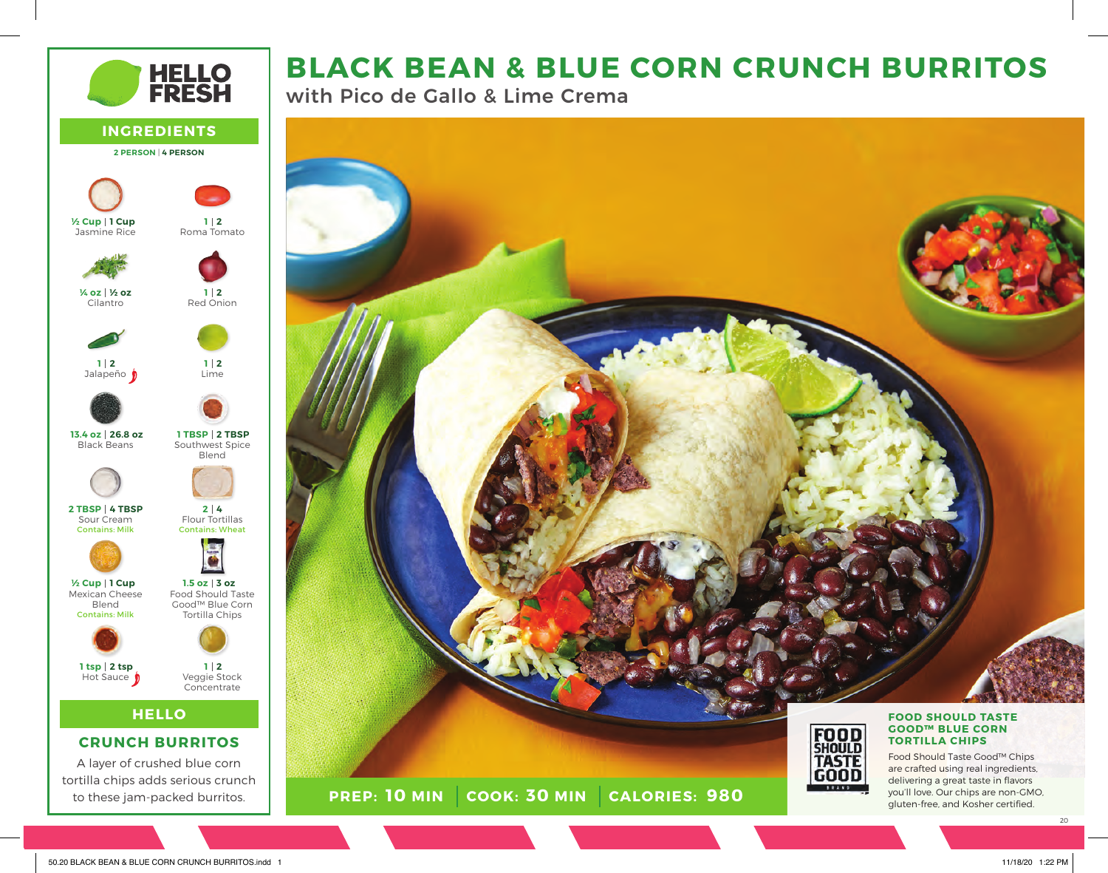# **BLACK BEAN & BLUE CORN CRUNCH BURRITOS**

with Pico de Gallo & Lime Crema



**PREP: 10 MIN** | **COOK: 30 MIN** 

**HELLO**

**CRUNCH BURRITOS** A layer of crushed blue corn

to these jam-packed burritos.

**INGREDIENTS 2 PERSON** | **4 PERSON**

**HELLO<br>FRESH** 

Roma Tomato

**2 1**

Red Onion

**2 1**

Lime

**2 1**

Blend

Flour Tortillas Contains: Wheat

**4 2**

Tortilla Chips

**3 oz 1.5 oz**

Veggie Stock **Concentrate** 

**2 1**

Jasmine Rice

**1 Cup ½ Cup**

Cilantro

**½ oz ¼ oz**

Jalapeño **2 1**

Black Beans

**26.8 oz 13.4 oz**

Sour Cream Contains: Milk

**4 TBSP 2 TBSP**

Mexican Cheese Blend Contains: Milk

**1 Cup ½ Cup**

Hot Sauce **D** 

**2 tsp 1 tsp**

20